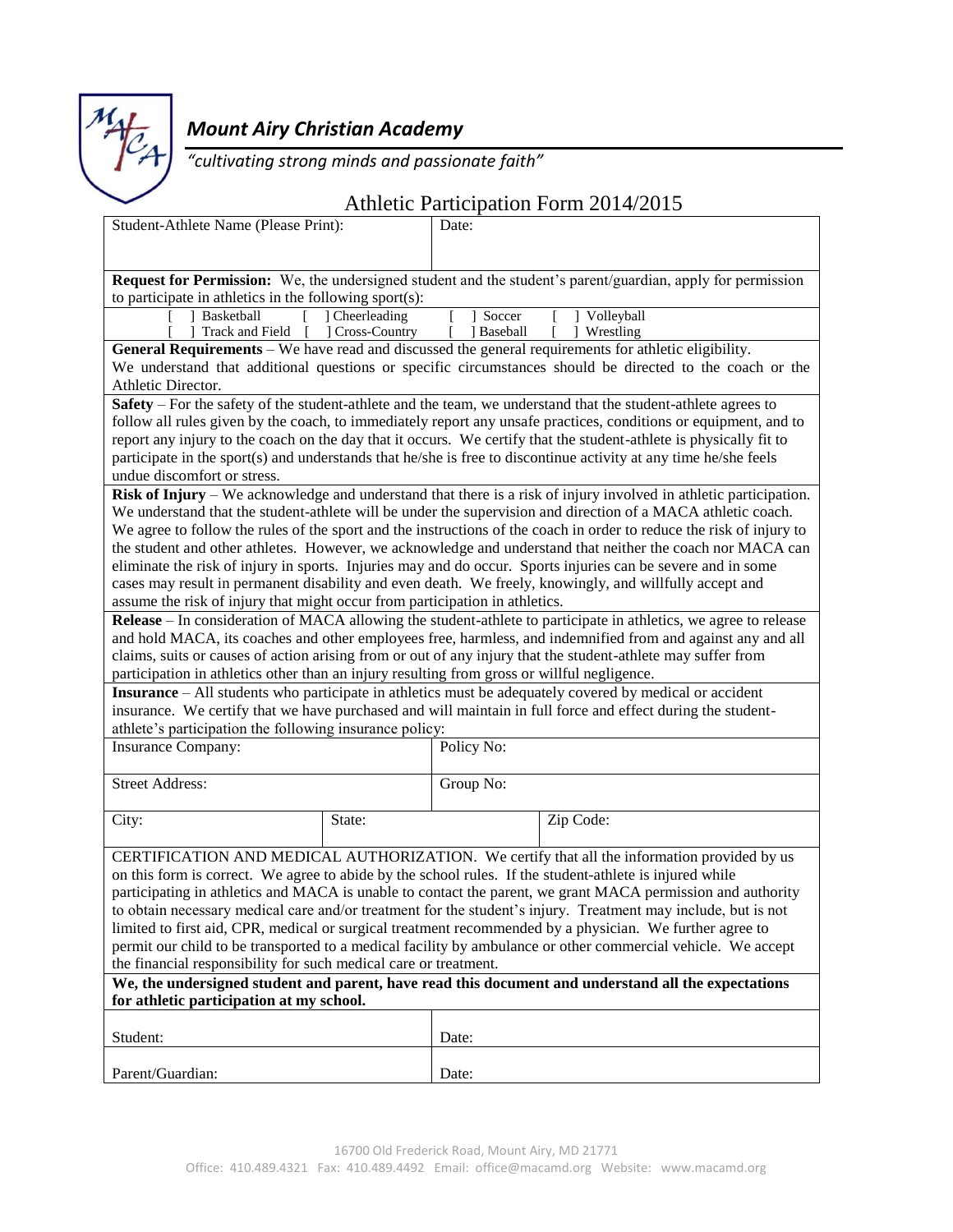

## *Mount Airy Christian Academy*

*"cultivating strong minds and passionate faith"*

## Athletic Participation Form 2014/2015

| Student-Athlete Name (Please Print):                                                                                                                                                                        |                                                                | Date: |                                                                                                                                                                                                                            |  |  |  |
|-------------------------------------------------------------------------------------------------------------------------------------------------------------------------------------------------------------|----------------------------------------------------------------|-------|----------------------------------------------------------------------------------------------------------------------------------------------------------------------------------------------------------------------------|--|--|--|
|                                                                                                                                                                                                             |                                                                |       |                                                                                                                                                                                                                            |  |  |  |
|                                                                                                                                                                                                             |                                                                |       |                                                                                                                                                                                                                            |  |  |  |
| <b>Request for Permission:</b> We, the undersigned student and the student's parent/guardian, apply for permission                                                                                          |                                                                |       |                                                                                                                                                                                                                            |  |  |  |
| to participate in athletics in the following sport $(s)$ :<br>Soccer<br>Volleyball<br>] Cheerleading<br>Basketball                                                                                          |                                                                |       |                                                                                                                                                                                                                            |  |  |  |
|                                                                                                                                                                                                             | Track and Field [ ] Cross-Country<br>] Baseball<br>  Wrestling |       |                                                                                                                                                                                                                            |  |  |  |
|                                                                                                                                                                                                             |                                                                |       | General Requirements – We have read and discussed the general requirements for athletic eligibility.                                                                                                                       |  |  |  |
|                                                                                                                                                                                                             |                                                                |       | We understand that additional questions or specific circumstances should be directed to the coach or the                                                                                                                   |  |  |  |
| Athletic Director.                                                                                                                                                                                          |                                                                |       |                                                                                                                                                                                                                            |  |  |  |
|                                                                                                                                                                                                             |                                                                |       | Safety – For the safety of the student-athlete and the team, we understand that the student-athlete agrees to                                                                                                              |  |  |  |
|                                                                                                                                                                                                             |                                                                |       | follow all rules given by the coach, to immediately report any unsafe practices, conditions or equipment, and to                                                                                                           |  |  |  |
|                                                                                                                                                                                                             |                                                                |       | report any injury to the coach on the day that it occurs. We certify that the student-athlete is physically fit to                                                                                                         |  |  |  |
|                                                                                                                                                                                                             |                                                                |       | participate in the sport(s) and understands that he/she is free to discontinue activity at any time he/she feels                                                                                                           |  |  |  |
| undue discomfort or stress.                                                                                                                                                                                 |                                                                |       |                                                                                                                                                                                                                            |  |  |  |
|                                                                                                                                                                                                             |                                                                |       | Risk of Injury – We acknowledge and understand that there is a risk of injury involved in athletic participation.                                                                                                          |  |  |  |
|                                                                                                                                                                                                             |                                                                |       | We understand that the student-athlete will be under the supervision and direction of a MACA athletic coach.                                                                                                               |  |  |  |
|                                                                                                                                                                                                             |                                                                |       | We agree to follow the rules of the sport and the instructions of the coach in order to reduce the risk of injury to                                                                                                       |  |  |  |
|                                                                                                                                                                                                             |                                                                |       | the student and other athletes. However, we acknowledge and understand that neither the coach nor MACA can<br>eliminate the risk of injury in sports. Injuries may and do occur. Sports injuries can be severe and in some |  |  |  |
|                                                                                                                                                                                                             |                                                                |       | cases may result in permanent disability and even death. We freely, knowingly, and willfully accept and                                                                                                                    |  |  |  |
| assume the risk of injury that might occur from participation in athletics.                                                                                                                                 |                                                                |       |                                                                                                                                                                                                                            |  |  |  |
|                                                                                                                                                                                                             |                                                                |       | Release – In consideration of MACA allowing the student-athlete to participate in athletics, we agree to release                                                                                                           |  |  |  |
|                                                                                                                                                                                                             |                                                                |       | and hold MACA, its coaches and other employees free, harmless, and indemnified from and against any and all                                                                                                                |  |  |  |
|                                                                                                                                                                                                             |                                                                |       |                                                                                                                                                                                                                            |  |  |  |
| claims, suits or causes of action arising from or out of any injury that the student-athlete may suffer from<br>participation in athletics other than an injury resulting from gross or willful negligence. |                                                                |       |                                                                                                                                                                                                                            |  |  |  |
|                                                                                                                                                                                                             |                                                                |       | Insurance - All students who participate in athletics must be adequately covered by medical or accident                                                                                                                    |  |  |  |
|                                                                                                                                                                                                             |                                                                |       | insurance. We certify that we have purchased and will maintain in full force and effect during the student-                                                                                                                |  |  |  |
| athlete's participation the following insurance policy:                                                                                                                                                     |                                                                |       |                                                                                                                                                                                                                            |  |  |  |
| Insurance Company:                                                                                                                                                                                          |                                                                |       | Policy No:                                                                                                                                                                                                                 |  |  |  |
|                                                                                                                                                                                                             |                                                                |       |                                                                                                                                                                                                                            |  |  |  |
| <b>Street Address:</b>                                                                                                                                                                                      |                                                                |       | Group No:                                                                                                                                                                                                                  |  |  |  |
|                                                                                                                                                                                                             |                                                                |       |                                                                                                                                                                                                                            |  |  |  |
| City:                                                                                                                                                                                                       | State:                                                         |       | Zip Code:                                                                                                                                                                                                                  |  |  |  |
|                                                                                                                                                                                                             |                                                                |       |                                                                                                                                                                                                                            |  |  |  |
| CERTIFICATION AND MEDICAL AUTHORIZATION. We certify that all the information provided by us<br>on this form is correct. We agree to abide by the school rules. If the student-athlete is injured while      |                                                                |       |                                                                                                                                                                                                                            |  |  |  |
| participating in athletics and MACA is unable to contact the parent, we grant MACA permission and authority                                                                                                 |                                                                |       |                                                                                                                                                                                                                            |  |  |  |
| to obtain necessary medical care and/or treatment for the student's injury. Treatment may include, but is not                                                                                               |                                                                |       |                                                                                                                                                                                                                            |  |  |  |
| limited to first aid, CPR, medical or surgical treatment recommended by a physician. We further agree to                                                                                                    |                                                                |       |                                                                                                                                                                                                                            |  |  |  |
| permit our child to be transported to a medical facility by ambulance or other commercial vehicle. We accept                                                                                                |                                                                |       |                                                                                                                                                                                                                            |  |  |  |
| the financial responsibility for such medical care or treatment.                                                                                                                                            |                                                                |       |                                                                                                                                                                                                                            |  |  |  |
| We, the undersigned student and parent, have read this document and understand all the expectations                                                                                                         |                                                                |       |                                                                                                                                                                                                                            |  |  |  |
| for athletic participation at my school.                                                                                                                                                                    |                                                                |       |                                                                                                                                                                                                                            |  |  |  |
|                                                                                                                                                                                                             |                                                                |       |                                                                                                                                                                                                                            |  |  |  |
| Student:                                                                                                                                                                                                    |                                                                | Date: |                                                                                                                                                                                                                            |  |  |  |
|                                                                                                                                                                                                             |                                                                |       |                                                                                                                                                                                                                            |  |  |  |
| Parent/Guardian:                                                                                                                                                                                            |                                                                | Date: |                                                                                                                                                                                                                            |  |  |  |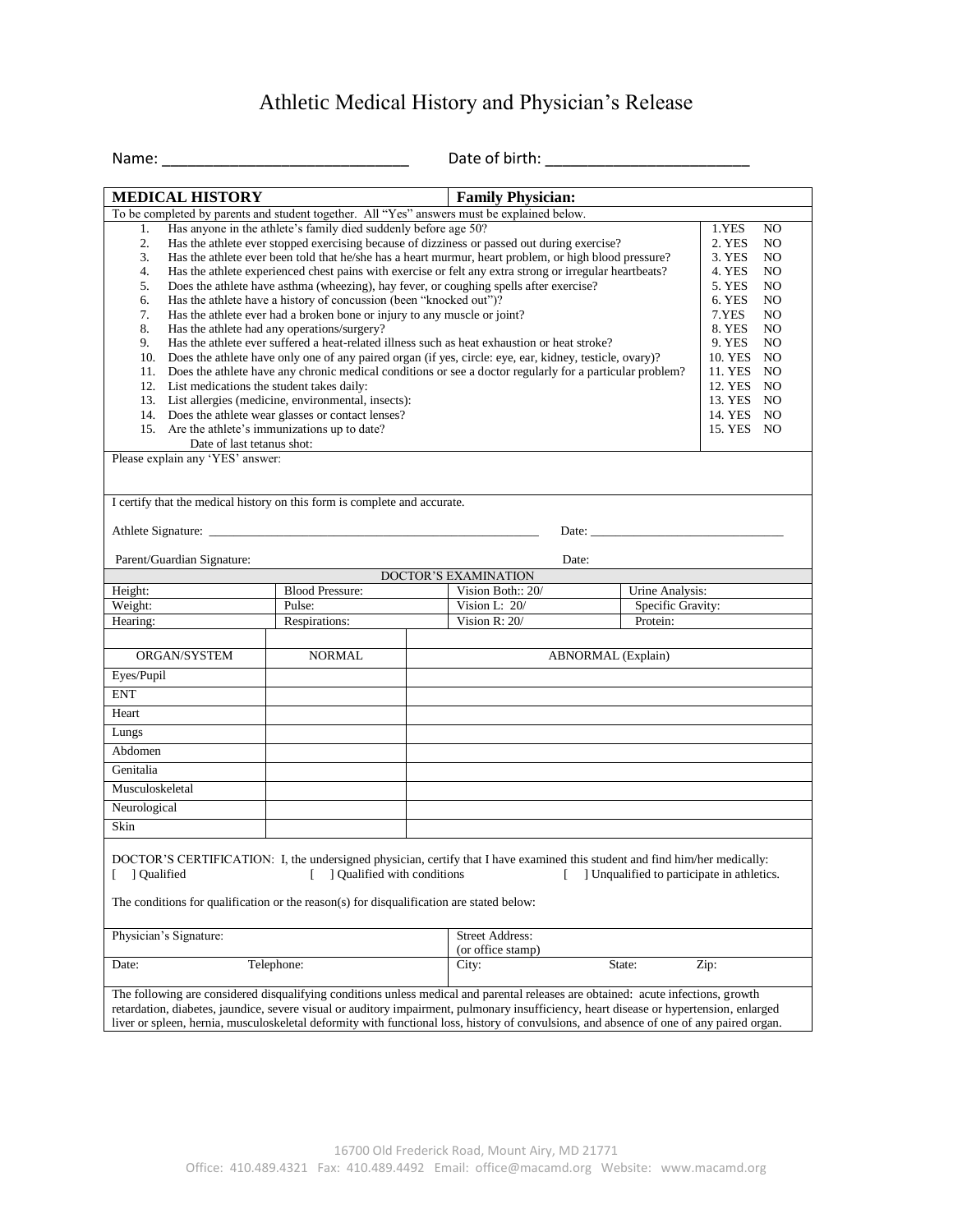## Athletic Medical History and Physician's Release

| $N = 1$ |  |
|---------|--|

Name: \_\_\_\_\_\_\_\_\_\_\_\_\_\_\_\_\_\_\_\_\_\_\_\_\_\_\_\_\_ Date of birth: \_\_\_\_\_\_\_\_\_\_\_\_\_\_\_\_\_\_\_\_\_\_\_\_

| <b>MEDICAL HISTORY</b>                                                                                                                                                                                                   | <b>Family Physician:</b>                                                                                                                                                                                                                                                                                                                                                           |                                                                                                                                                                                                                                                                                                                                                                                                                                                                                                                                                                                                                                                                                                                                          |                                            |                                                                                                                                                                                                                                                                                                |  |
|--------------------------------------------------------------------------------------------------------------------------------------------------------------------------------------------------------------------------|------------------------------------------------------------------------------------------------------------------------------------------------------------------------------------------------------------------------------------------------------------------------------------------------------------------------------------------------------------------------------------|------------------------------------------------------------------------------------------------------------------------------------------------------------------------------------------------------------------------------------------------------------------------------------------------------------------------------------------------------------------------------------------------------------------------------------------------------------------------------------------------------------------------------------------------------------------------------------------------------------------------------------------------------------------------------------------------------------------------------------------|--------------------------------------------|------------------------------------------------------------------------------------------------------------------------------------------------------------------------------------------------------------------------------------------------------------------------------------------------|--|
|                                                                                                                                                                                                                          |                                                                                                                                                                                                                                                                                                                                                                                    | To be completed by parents and student together. All "Yes" answers must be explained below.                                                                                                                                                                                                                                                                                                                                                                                                                                                                                                                                                                                                                                              |                                            |                                                                                                                                                                                                                                                                                                |  |
| 1.<br>2.<br>3.<br>4.<br>5.<br>6.<br>7.<br>8.<br>9.<br>12. List medications the student takes daily:<br>15. Are the athlete's immunizations up to date?<br>Date of last tetanus shot:<br>Please explain any 'YES' answer: | Has anyone in the athlete's family died suddenly before age 50?<br>Has the athlete have a history of concussion (been "knocked out")?<br>Has the athlete ever had a broken bone or injury to any muscle or joint?<br>Has the athlete had any operations/surgery?<br>13. List allergies (medicine, environmental, insects):<br>14. Does the athlete wear glasses or contact lenses? | Has the athlete ever stopped exercising because of dizziness or passed out during exercise?<br>Has the athlete ever been told that he/she has a heart murmur, heart problem, or high blood pressure?<br>Has the athlete experienced chest pains with exercise or felt any extra strong or irregular heartbeats?<br>Does the athlete have asthma (wheezing), hay fever, or coughing spells after exercise?<br>Has the athlete ever suffered a heat-related illness such as heat exhaustion or heat stroke?<br>10. Does the athlete have only one of any paired organ (if yes, circle: eye, ear, kidney, testicle, ovary)?<br>11. Does the athlete have any chronic medical conditions or see a doctor regularly for a particular problem? |                                            | 1.YES<br>N <sub>O</sub><br>2. YES<br>NO.<br>3. YES<br>NO.<br>4. YES<br>NO.<br>5. YES<br>N <sub>O</sub><br>6. YES<br>N <sub>O</sub><br>7.YES<br>N <sub>O</sub><br>8. YES<br>NO.<br>9. YES<br>N <sub>O</sub><br>10. YES NO<br>11. YES NO<br>12. YES NO<br>13. YES NO<br>14. YES NO<br>15. YES NO |  |
|                                                                                                                                                                                                                          |                                                                                                                                                                                                                                                                                                                                                                                    |                                                                                                                                                                                                                                                                                                                                                                                                                                                                                                                                                                                                                                                                                                                                          |                                            |                                                                                                                                                                                                                                                                                                |  |
| I certify that the medical history on this form is complete and accurate.<br>Date:                                                                                                                                       |                                                                                                                                                                                                                                                                                                                                                                                    |                                                                                                                                                                                                                                                                                                                                                                                                                                                                                                                                                                                                                                                                                                                                          |                                            |                                                                                                                                                                                                                                                                                                |  |
| Parent/Guardian Signature:                                                                                                                                                                                               |                                                                                                                                                                                                                                                                                                                                                                                    | Date:                                                                                                                                                                                                                                                                                                                                                                                                                                                                                                                                                                                                                                                                                                                                    |                                            |                                                                                                                                                                                                                                                                                                |  |
| Height:                                                                                                                                                                                                                  | <b>Blood Pressure:</b>                                                                                                                                                                                                                                                                                                                                                             | DOCTOR'S EXAMINATION<br>Vision Both:: 20/                                                                                                                                                                                                                                                                                                                                                                                                                                                                                                                                                                                                                                                                                                |                                            |                                                                                                                                                                                                                                                                                                |  |
| Weight:                                                                                                                                                                                                                  | Pulse:                                                                                                                                                                                                                                                                                                                                                                             | Urine Analysis:<br>Vision L: $20/$<br>Specific Gravity:                                                                                                                                                                                                                                                                                                                                                                                                                                                                                                                                                                                                                                                                                  |                                            |                                                                                                                                                                                                                                                                                                |  |
| Hearing:                                                                                                                                                                                                                 | Respirations:                                                                                                                                                                                                                                                                                                                                                                      | Vision R: 20/<br>Protein:                                                                                                                                                                                                                                                                                                                                                                                                                                                                                                                                                                                                                                                                                                                |                                            |                                                                                                                                                                                                                                                                                                |  |
| ORGAN/SYSTEM                                                                                                                                                                                                             | <b>NORMAL</b>                                                                                                                                                                                                                                                                                                                                                                      |                                                                                                                                                                                                                                                                                                                                                                                                                                                                                                                                                                                                                                                                                                                                          |                                            |                                                                                                                                                                                                                                                                                                |  |
| Eyes/Pupil                                                                                                                                                                                                               |                                                                                                                                                                                                                                                                                                                                                                                    |                                                                                                                                                                                                                                                                                                                                                                                                                                                                                                                                                                                                                                                                                                                                          | ABNORMAL (Explain)                         |                                                                                                                                                                                                                                                                                                |  |
| <b>ENT</b>                                                                                                                                                                                                               |                                                                                                                                                                                                                                                                                                                                                                                    |                                                                                                                                                                                                                                                                                                                                                                                                                                                                                                                                                                                                                                                                                                                                          |                                            |                                                                                                                                                                                                                                                                                                |  |
| Heart                                                                                                                                                                                                                    |                                                                                                                                                                                                                                                                                                                                                                                    |                                                                                                                                                                                                                                                                                                                                                                                                                                                                                                                                                                                                                                                                                                                                          |                                            |                                                                                                                                                                                                                                                                                                |  |
| Lungs                                                                                                                                                                                                                    |                                                                                                                                                                                                                                                                                                                                                                                    |                                                                                                                                                                                                                                                                                                                                                                                                                                                                                                                                                                                                                                                                                                                                          |                                            |                                                                                                                                                                                                                                                                                                |  |
|                                                                                                                                                                                                                          |                                                                                                                                                                                                                                                                                                                                                                                    |                                                                                                                                                                                                                                                                                                                                                                                                                                                                                                                                                                                                                                                                                                                                          |                                            |                                                                                                                                                                                                                                                                                                |  |
| Abdomen                                                                                                                                                                                                                  |                                                                                                                                                                                                                                                                                                                                                                                    |                                                                                                                                                                                                                                                                                                                                                                                                                                                                                                                                                                                                                                                                                                                                          |                                            |                                                                                                                                                                                                                                                                                                |  |
| Genitalia                                                                                                                                                                                                                |                                                                                                                                                                                                                                                                                                                                                                                    |                                                                                                                                                                                                                                                                                                                                                                                                                                                                                                                                                                                                                                                                                                                                          |                                            |                                                                                                                                                                                                                                                                                                |  |
| Musculoskeletal                                                                                                                                                                                                          |                                                                                                                                                                                                                                                                                                                                                                                    |                                                                                                                                                                                                                                                                                                                                                                                                                                                                                                                                                                                                                                                                                                                                          |                                            |                                                                                                                                                                                                                                                                                                |  |
| Neurological                                                                                                                                                                                                             |                                                                                                                                                                                                                                                                                                                                                                                    |                                                                                                                                                                                                                                                                                                                                                                                                                                                                                                                                                                                                                                                                                                                                          |                                            |                                                                                                                                                                                                                                                                                                |  |
| Skin                                                                                                                                                                                                                     |                                                                                                                                                                                                                                                                                                                                                                                    |                                                                                                                                                                                                                                                                                                                                                                                                                                                                                                                                                                                                                                                                                                                                          |                                            |                                                                                                                                                                                                                                                                                                |  |
| J Qualified<br>Physician's Signature:                                                                                                                                                                                    | ] Qualified with conditions<br>The conditions for qualification or the reason(s) for disqualification are stated below:                                                                                                                                                                                                                                                            | DOCTOR'S CERTIFICATION: I, the undersigned physician, certify that I have examined this student and find him/her medically:<br><b>Street Address:</b>                                                                                                                                                                                                                                                                                                                                                                                                                                                                                                                                                                                    | ] Unqualified to participate in athletics. |                                                                                                                                                                                                                                                                                                |  |
| Telephone:<br>Date:                                                                                                                                                                                                      |                                                                                                                                                                                                                                                                                                                                                                                    | (or office stamp)<br>City:                                                                                                                                                                                                                                                                                                                                                                                                                                                                                                                                                                                                                                                                                                               | State:                                     | Zip:                                                                                                                                                                                                                                                                                           |  |
|                                                                                                                                                                                                                          |                                                                                                                                                                                                                                                                                                                                                                                    |                                                                                                                                                                                                                                                                                                                                                                                                                                                                                                                                                                                                                                                                                                                                          |                                            |                                                                                                                                                                                                                                                                                                |  |
|                                                                                                                                                                                                                          |                                                                                                                                                                                                                                                                                                                                                                                    | The following are considered disqualifying conditions unless medical and parental releases are obtained: acute infections, growth<br>retardation, diabetes, jaundice, severe visual or auditory impairment, pulmonary insufficiency, heart disease or hypertension, enlarged<br>liver or spleen, hernia, musculoskeletal deformity with functional loss, history of convulsions, and absence of one of any paired organ.                                                                                                                                                                                                                                                                                                                 |                                            |                                                                                                                                                                                                                                                                                                |  |